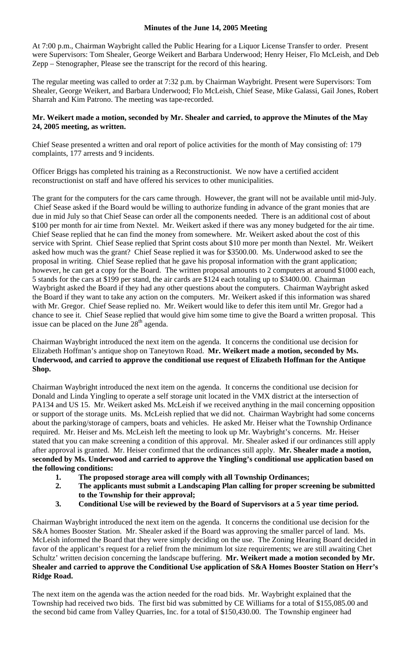## **Minutes of the June 14, 2005 Meeting**

At 7:00 p.m., Chairman Waybright called the Public Hearing for a Liquor License Transfer to order. Present were Supervisors: Tom Shealer, George Weikert and Barbara Underwood; Henry Heiser, Flo McLeish, and Deb Zepp – Stenographer, Please see the transcript for the record of this hearing.

The regular meeting was called to order at 7:32 p.m. by Chairman Waybright. Present were Supervisors: Tom Shealer, George Weikert, and Barbara Underwood; Flo McLeish, Chief Sease, Mike Galassi, Gail Jones, Robert Sharrah and Kim Patrono. The meeting was tape-recorded.

## **Mr. Weikert made a motion, seconded by Mr. Shealer and carried, to approve the Minutes of the May 24, 2005 meeting, as written.**

Chief Sease presented a written and oral report of police activities for the month of May consisting of: 179 complaints, 177 arrests and 9 incidents.

Officer Briggs has completed his training as a Reconstructionist. We now have a certified accident reconstructionist on staff and have offered his services to other municipalities.

The grant for the computers for the cars came through. However, the grant will not be available until mid-July. Chief Sease asked if the Board would be willing to authorize funding in advance of the grant monies that are due in mid July so that Chief Sease can order all the components needed. There is an additional cost of about \$100 per month for air time from Nextel. Mr. Weikert asked if there was any money budgeted for the air time. Chief Sease replied that he can find the money from somewhere. Mr. Weikert asked about the cost of this service with Sprint. Chief Sease replied that Sprint costs about \$10 more per month than Nextel. Mr. Weikert asked how much was the grant? Chief Sease replied it was for \$3500.00. Ms. Underwood asked to see the proposal in writing. Chief Sease replied that he gave his proposal information with the grant application; however, he can get a copy for the Board. The written proposal amounts to 2 computers at around \$1000 each, 5 stands for the cars at \$199 per stand, the air cards are \$124 each totaling up to \$3400.00. Chairman Waybright asked the Board if they had any other questions about the computers. Chairman Waybright asked the Board if they want to take any action on the computers. Mr. Weikert asked if this information was shared with Mr. Gregor. Chief Sease replied no. Mr. Weikert would like to defer this item until Mr. Gregor had a chance to see it. Chief Sease replied that would give him some time to give the Board a written proposal. This issue can be placed on the June  $28<sup>th</sup>$  agenda.

Chairman Waybright introduced the next item on the agenda. It concerns the conditional use decision for Elizabeth Hoffman's antique shop on Taneytown Road. **Mr. Weikert made a motion, seconded by Ms. Underwood, and carried to approve the conditional use request of Elizabeth Hoffman for the Antique Shop.** 

Chairman Waybright introduced the next item on the agenda. It concerns the conditional use decision for Donald and Linda Yingling to operate a self storage unit located in the VMX district at the intersection of PA134 and US 15. Mr. Weikert asked Ms. McLeish if we received anything in the mail concerning opposition or support of the storage units. Ms. McLeish replied that we did not. Chairman Waybright had some concerns about the parking/storage of campers, boats and vehicles. He asked Mr. Heiser what the Township Ordinance required. Mr. Heiser and Ms. McLeish left the meeting to look up Mr. Waybright's concerns. Mr. Heiser stated that you can make screening a condition of this approval. Mr. Shealer asked if our ordinances still apply after approval is granted. Mr. Heiser confirmed that the ordinances still apply. **Mr. Shealer made a motion, seconded by Ms. Underwood and carried to approve the Yingling's conditional use application based on the following conditions:** 

- **1. The proposed storage area will comply with all Township Ordinances;**
- **2. The applicants must submit a Landscaping Plan calling for proper screening be submitted to the Township for their approval;**
- **3. Conditional Use will be reviewed by the Board of Supervisors at a 5 year time period.**

Chairman Waybright introduced the next item on the agenda. It concerns the conditional use decision for the S&A homes Booster Station. Mr. Shealer asked if the Board was approving the smaller parcel of land. Ms. McLeish informed the Board that they were simply deciding on the use. The Zoning Hearing Board decided in favor of the applicant's request for a relief from the minimum lot size requirements; we are still awaiting Chet Schultz' written decision concerning the landscape buffering. **Mr. Weikert made a motion seconded by Mr. Shealer and carried to approve the Conditional Use application of S&A Homes Booster Station on Herr's Ridge Road.** 

The next item on the agenda was the action needed for the road bids. Mr. Waybright explained that the Township had received two bids. The first bid was submitted by CE Williams for a total of \$155,085.00 and the second bid came from Valley Quarries, Inc. for a total of \$150,430.00. The Township engineer had